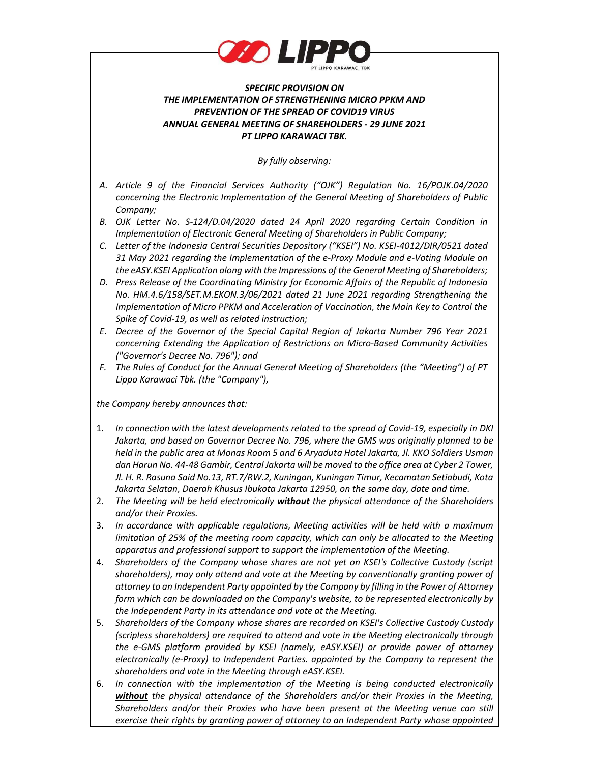

## SPECIFIC PROVISION ON THE IMPLEMENTATION OF STRENGTHENING MICRO PPKM AND PREVENTION OF THE SPREAD OF COVID19 VIRUS ANNUAL GENERAL MEETING OF SHAREHOLDERS - 29 JUNE 2021 PT LIPPO KARAWACI TBK.

By fully observing:

- A. Article 9 of the Financial Services Authority ("OJK") Regulation No. 16/POJK.04/2020 concerning the Electronic Implementation of the General Meeting of Shareholders of Public Company;
- B. OJK Letter No. S-124/D.04/2020 dated 24 April 2020 regarding Certain Condition in Implementation of Electronic General Meeting of Shareholders in Public Company;
- C. Letter of the Indonesia Central Securities Depository ("KSEI") No. KSEI-4012/DIR/0521 dated 31 May 2021 regarding the Implementation of the e-Proxy Module and e-Voting Module on the eASY.KSEI Application along with the Impressions of the General Meeting of Shareholders;
- D. Press Release of the Coordinating Ministry for Economic Affairs of the Republic of Indonesia No. HM.4.6/158/SET.M.EKON.3/06/2021 dated 21 June 2021 regarding Strengthening the Implementation of Micro PPKM and Acceleration of Vaccination, the Main Key to Control the Spike of Covid-19, as well as related instruction;
- E. Decree of the Governor of the Special Capital Region of Jakarta Number 796 Year 2021 concerning Extending the Application of Restrictions on Micro-Based Community Activities ("Governor's Decree No. 796"); and
- F. The Rules of Conduct for the Annual General Meeting of Shareholders (the "Meeting") of PT Lippo Karawaci Tbk. (the "Company"),

the Company hereby announces that:

- 1. In connection with the latest developments related to the spread of Covid-19, especially in DKI Jakarta, and based on Governor Decree No. 796, where the GMS was originally planned to be held in the public area at Monas Room 5 and 6 Aryaduta Hotel Jakarta, Jl. KKO Soldiers Usman dan Harun No. 44-48 Gambir, Central Jakarta will be moved to the office area at Cyber 2 Tower, Jl. H. R. Rasuna Said No.13, RT.7/RW.2, Kuningan, Kuningan Timur, Kecamatan Setiabudi, Kota Jakarta Selatan, Daerah Khusus Ibukota Jakarta 12950, on the same day, date and time.
- 2. The Meeting will be held electronically **without** the physical attendance of the Shareholders and/or their Proxies.
- 3. In accordance with applicable regulations, Meeting activities will be held with a maximum limitation of 25% of the meeting room capacity, which can only be allocated to the Meeting apparatus and professional support to support the implementation of the Meeting.
- 4. Shareholders of the Company whose shares are not yet on KSEI's Collective Custody (script shareholders), may only attend and vote at the Meeting by conventionally granting power of attorney to an Independent Party appointed by the Company by filling in the Power of Attorney form which can be downloaded on the Company's website, to be represented electronically by the Independent Party in its attendance and vote at the Meeting.
- 5. Shareholders of the Company whose shares are recorded on KSEI's Collective Custody Custody (scripless shareholders) are required to attend and vote in the Meeting electronically through the e-GMS platform provided by KSEI (namely, eASY.KSEI) or provide power of attorney electronically (e-Proxy) to Independent Parties. appointed by the Company to represent the shareholders and vote in the Meeting through eASY.KSEI.
- 6. In connection with the implementation of the Meeting is being conducted electronically without the physical attendance of the Shareholders and/or their Proxies in the Meeting, Shareholders and/or their Proxies who have been present at the Meeting venue can still exercise their rights by granting power of attorney to an Independent Party whose appointed